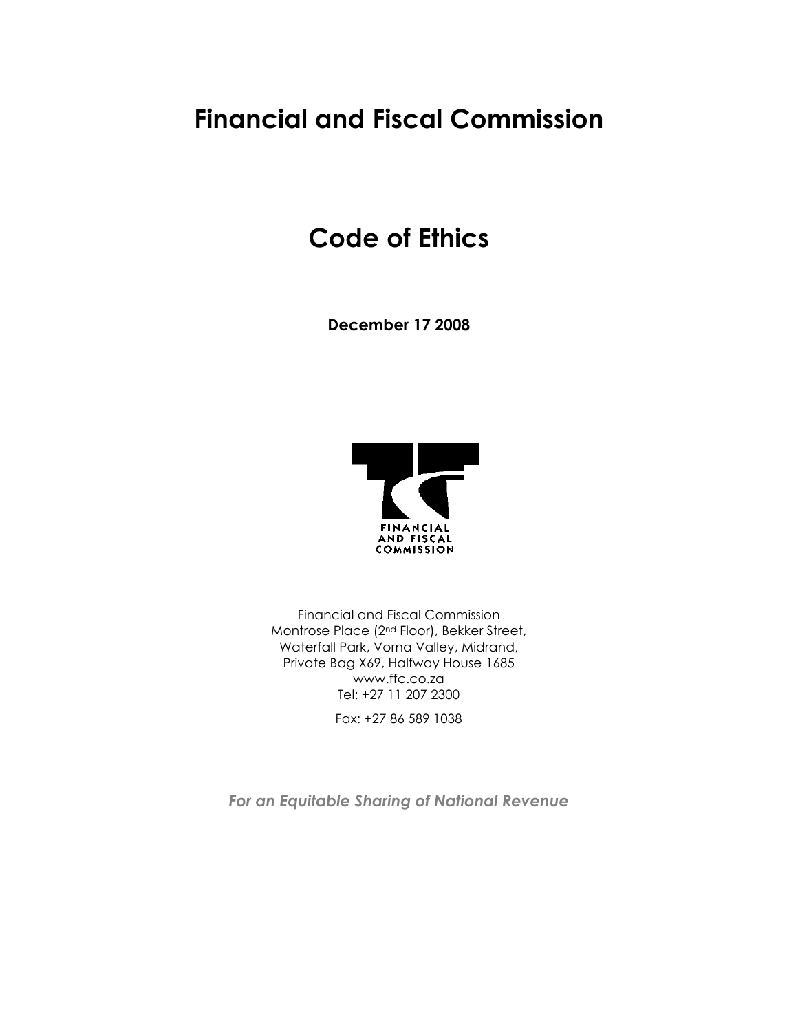# **Financial and Fiscal Commission**

# **Code of Ethics**

**December 17 2008**



Financial and Fiscal Commission Montrose Place (2nd Floor), Bekker Street, Waterfall Park, Vorna Valley, Midrand, Private Bag X69, Halfway House 1685 www.ffc.co.za Tel: +27 11 207 2300 Fax: +27 86 589 1038

*For an Equitable Sharing of National Revenue*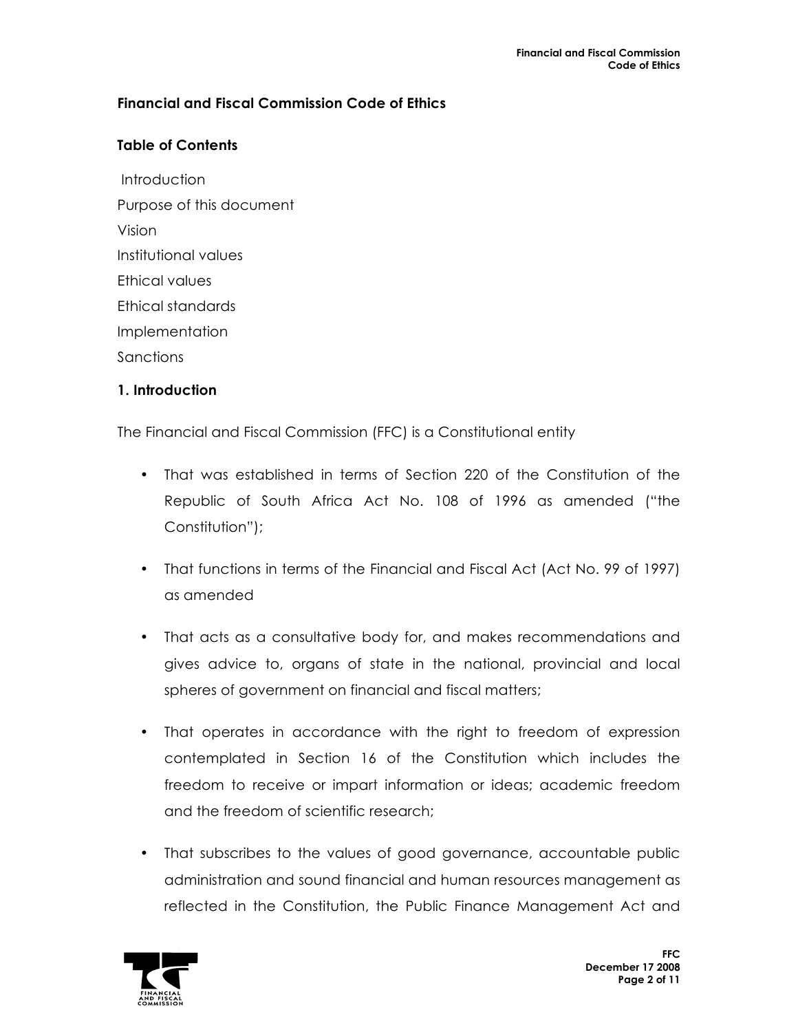## **Financial and Fiscal Commission Code of Ethics**

## **Table of Contents**

**Introduction** Purpose of this document Vision Institutional values Ethical values Ethical standards Implementation **Sanctions** 

## **1. Introduction**

The Financial and Fiscal Commission (FFC) is a Constitutional entity

- That was established in terms of Section 220 of the Constitution of the Republic of South Africa Act No. 108 of 1996 as amended ("the Constitution");
- That functions in terms of the Financial and Fiscal Act (Act No. 99 of 1997) as amended
- That acts as a consultative body for, and makes recommendations and gives advice to, organs of state in the national, provincial and local spheres of government on financial and fiscal matters;
- That operates in accordance with the right to freedom of expression contemplated in Section 16 of the Constitution which includes the freedom to receive or impart information or ideas; academic freedom and the freedom of scientific research;
- That subscribes to the values of good governance, accountable public administration and sound financial and human resources management as reflected in the Constitution, the Public Finance Management Act and

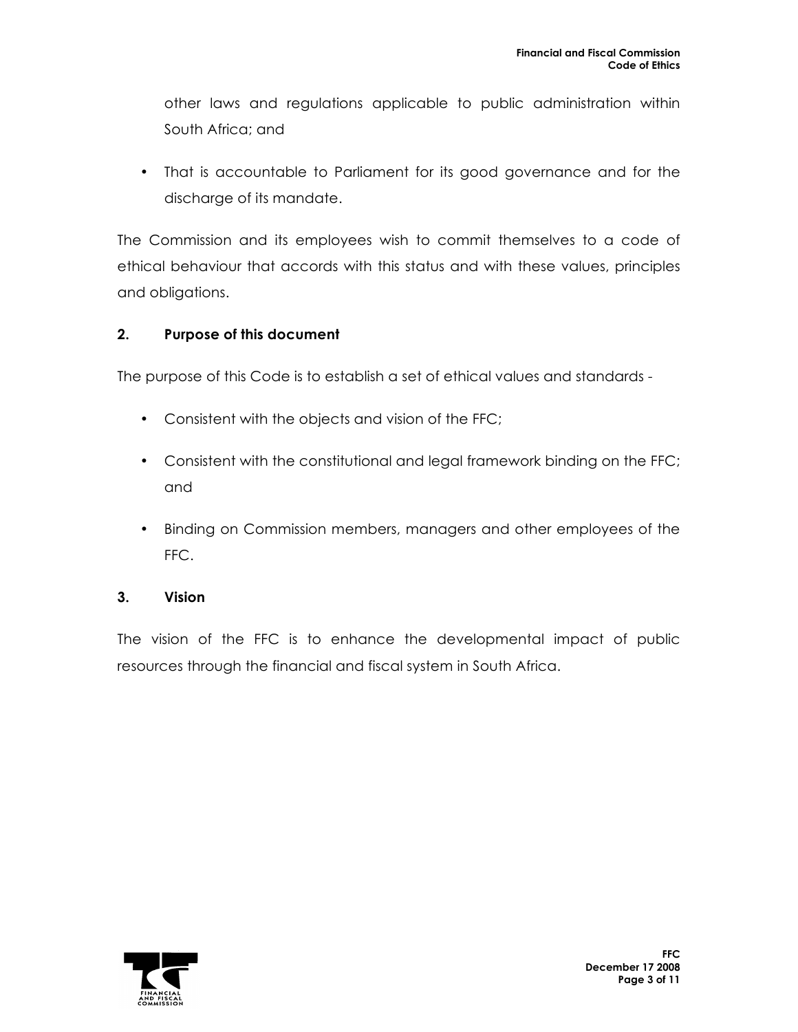other laws and regulations applicable to public administration within South Africa; and

• That is accountable to Parliament for its good governance and for the discharge of its mandate.

The Commission and its employees wish to commit themselves to a code of ethical behaviour that accords with this status and with these values, principles and obligations.

## **2. Purpose of this document**

The purpose of this Code is to establish a set of ethical values and standards -

- Consistent with the objects and vision of the FFC;
- Consistent with the constitutional and legal framework binding on the FFC; and
- Binding on Commission members, managers and other employees of the FFC.

**3. Vision**

The vision of the FFC is to enhance the developmental impact of public resources through the financial and fiscal system in South Africa.

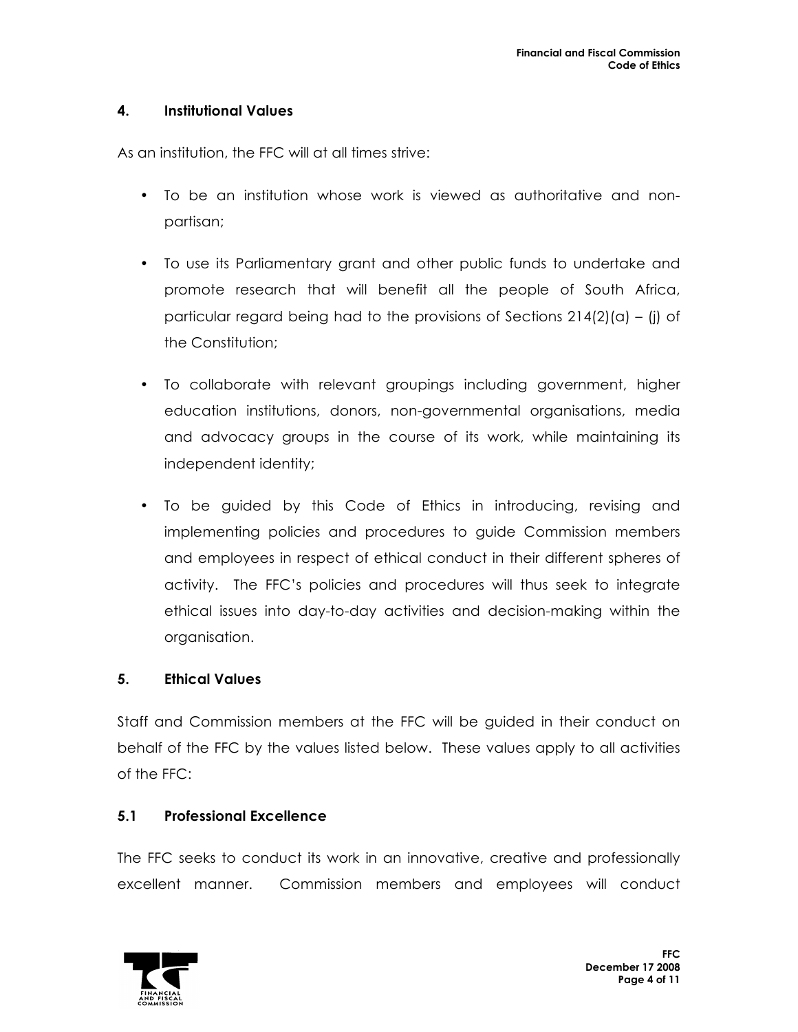## **4. Institutional Values**

As an institution, the FFC will at all times strive:

- To be an institution whose work is viewed as authoritative and nonpartisan;
- To use its Parliamentary grant and other public funds to undertake and promote research that will benefit all the people of South Africa, particular regard being had to the provisions of Sections  $214(2)(a) - (i)$  of the Constitution;
- To collaborate with relevant groupings including government, higher education institutions, donors, non-governmental organisations, media and advocacy groups in the course of its work, while maintaining its independent identity;
- To be guided by this Code of Ethics in introducing, revising and implementing policies and procedures to guide Commission members and employees in respect of ethical conduct in their different spheres of activity. The FFC's policies and procedures will thus seek to integrate ethical issues into day-to-day activities and decision-making within the organisation.

## **5. Ethical Values**

Staff and Commission members at the FFC will be guided in their conduct on behalf of the FFC by the values listed below. These values apply to all activities of the FFC:

#### **5.1 Professional Excellence**

The FFC seeks to conduct its work in an innovative, creative and professionally excellent manner. Commission members and employees will conduct

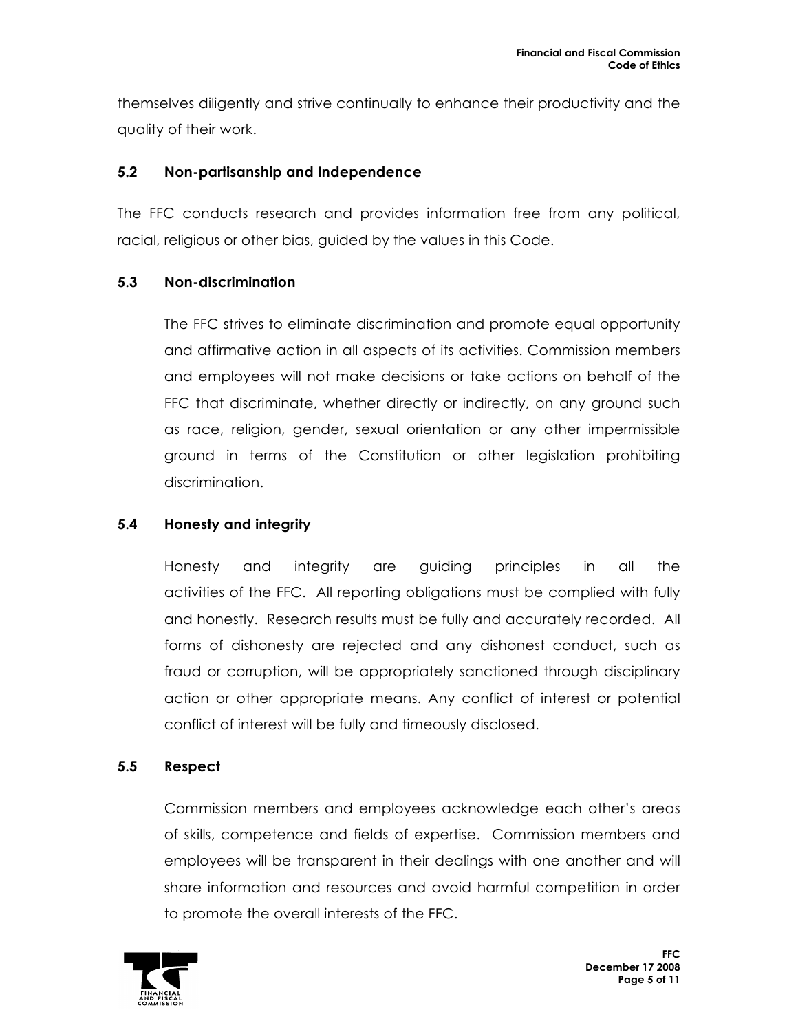themselves diligently and strive continually to enhance their productivity and the quality of their work.

## **5.2 Non-partisanship and Independence**

The FFC conducts research and provides information free from any political, racial, religious or other bias, guided by the values in this Code.

## **5.3 Non-discrimination**

The FFC strives to eliminate discrimination and promote equal opportunity and affirmative action in all aspects of its activities. Commission members and employees will not make decisions or take actions on behalf of the FFC that discriminate, whether directly or indirectly, on any ground such as race, religion, gender, sexual orientation or any other impermissible ground in terms of the Constitution or other legislation prohibiting discrimination.

## **5.4 Honesty and integrity**

Honesty and integrity are guiding principles in all the activities of the FFC. All reporting obligations must be complied with fully and honestly. Research results must be fully and accurately recorded. All forms of dishonesty are rejected and any dishonest conduct, such as fraud or corruption, will be appropriately sanctioned through disciplinary action or other appropriate means. Any conflict of interest or potential conflict of interest will be fully and timeously disclosed.

## **5.5 Respect**

Commission members and employees acknowledge each other's areas of skills, competence and fields of expertise. Commission members and employees will be transparent in their dealings with one another and will share information and resources and avoid harmful competition in order to promote the overall interests of the FFC.

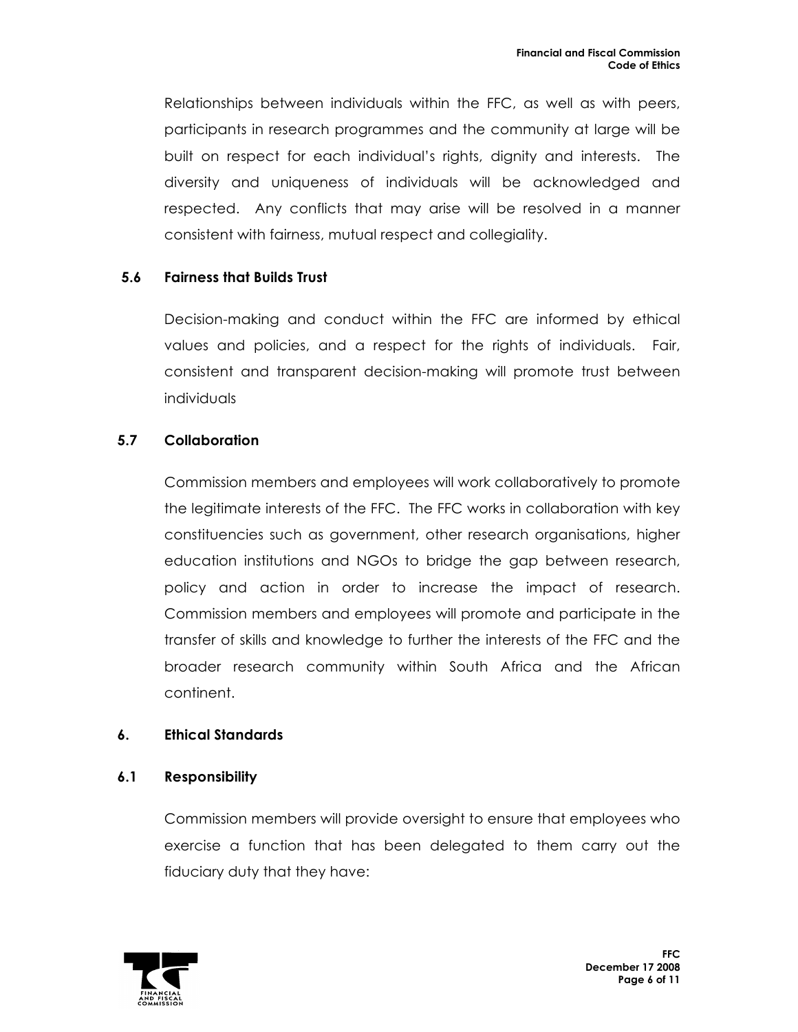Relationships between individuals within the FFC, as well as with peers, participants in research programmes and the community at large will be built on respect for each individual's rights, dignity and interests. The diversity and uniqueness of individuals will be acknowledged and respected. Any conflicts that may arise will be resolved in a manner consistent with fairness, mutual respect and collegiality.

## **5.6 Fairness that Builds Trust**

Decision-making and conduct within the FFC are informed by ethical values and policies, and a respect for the rights of individuals. Fair, consistent and transparent decision-making will promote trust between individuals

## **5.7 Collaboration**

Commission members and employees will work collaboratively to promote the legitimate interests of the FFC. The FFC works in collaboration with key constituencies such as government, other research organisations, higher education institutions and NGOs to bridge the gap between research, policy and action in order to increase the impact of research. Commission members and employees will promote and participate in the transfer of skills and knowledge to further the interests of the FFC and the broader research community within South Africa and the African continent.

## **6. Ethical Standards**

#### **6.1 Responsibility**

Commission members will provide oversight to ensure that employees who exercise a function that has been delegated to them carry out the fiduciary duty that they have:

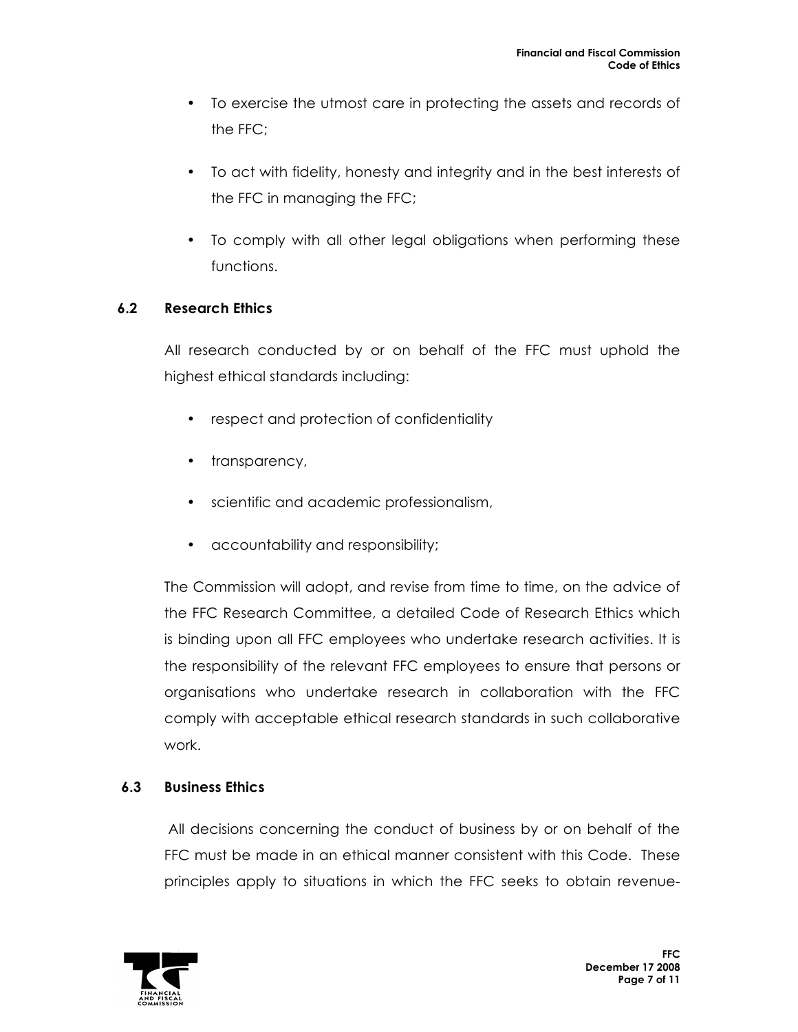- To exercise the utmost care in protecting the assets and records of the FFC;
- To act with fidelity, honesty and integrity and in the best interests of the FFC in managing the FFC;
- To comply with all other legal obligations when performing these functions.

## **6.2 Research Ethics**

All research conducted by or on behalf of the FFC must uphold the highest ethical standards including:

- respect and protection of confidentiality
- transparency,
- scientific and academic professionalism,
- accountability and responsibility;

The Commission will adopt, and revise from time to time, on the advice of the FFC Research Committee, a detailed Code of Research Ethics which is binding upon all FFC employees who undertake research activities. It is the responsibility of the relevant FFC employees to ensure that persons or organisations who undertake research in collaboration with the FFC comply with acceptable ethical research standards in such collaborative work.

## **6.3 Business Ethics**

All decisions concerning the conduct of business by or on behalf of the FFC must be made in an ethical manner consistent with this Code. These principles apply to situations in which the FFC seeks to obtain revenue-

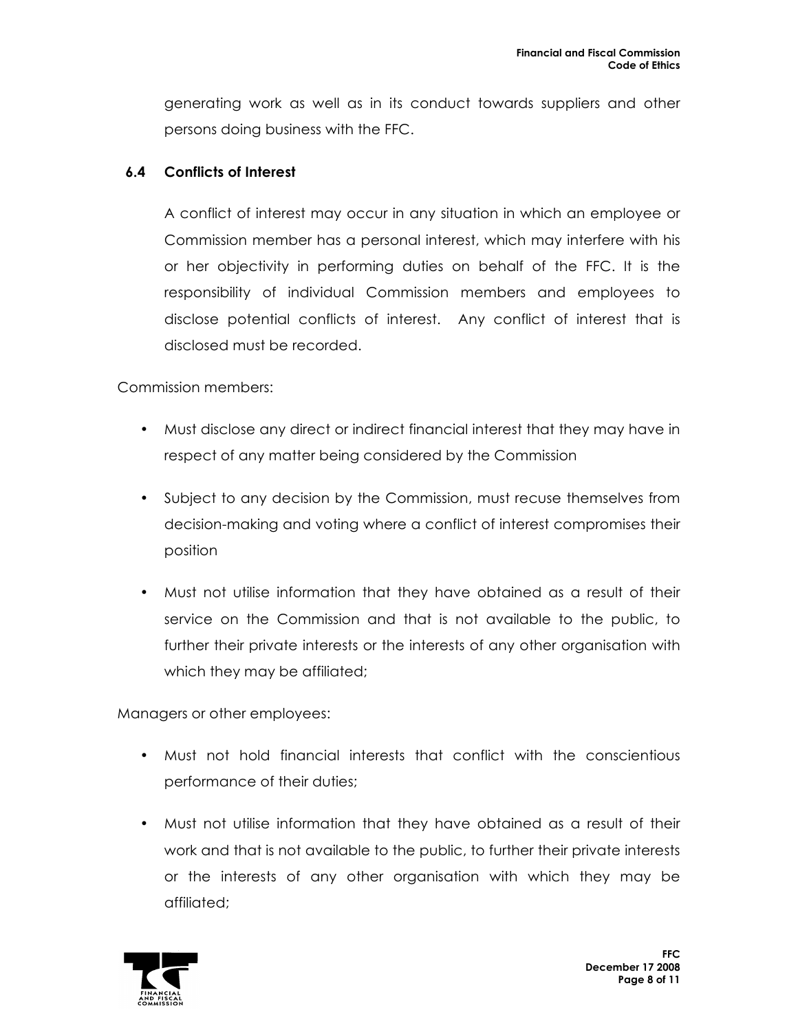generating work as well as in its conduct towards suppliers and other persons doing business with the FFC.

## **6.4 Conflicts of Interest**

A conflict of interest may occur in any situation in which an employee or Commission member has a personal interest, which may interfere with his or her objectivity in performing duties on behalf of the FFC. It is the responsibility of individual Commission members and employees to disclose potential conflicts of interest. Any conflict of interest that is disclosed must be recorded.

Commission members:

- Must disclose any direct or indirect financial interest that they may have in respect of any matter being considered by the Commission
- Subject to any decision by the Commission, must recuse themselves from decision-making and voting where a conflict of interest compromises their position
- Must not utilise information that they have obtained as a result of their service on the Commission and that is not available to the public, to further their private interests or the interests of any other organisation with which they may be affiliated;

Managers or other employees:

- Must not hold financial interests that conflict with the conscientious performance of their duties;
- Must not utilise information that they have obtained as a result of their work and that is not available to the public, to further their private interests or the interests of any other organisation with which they may be affiliated;

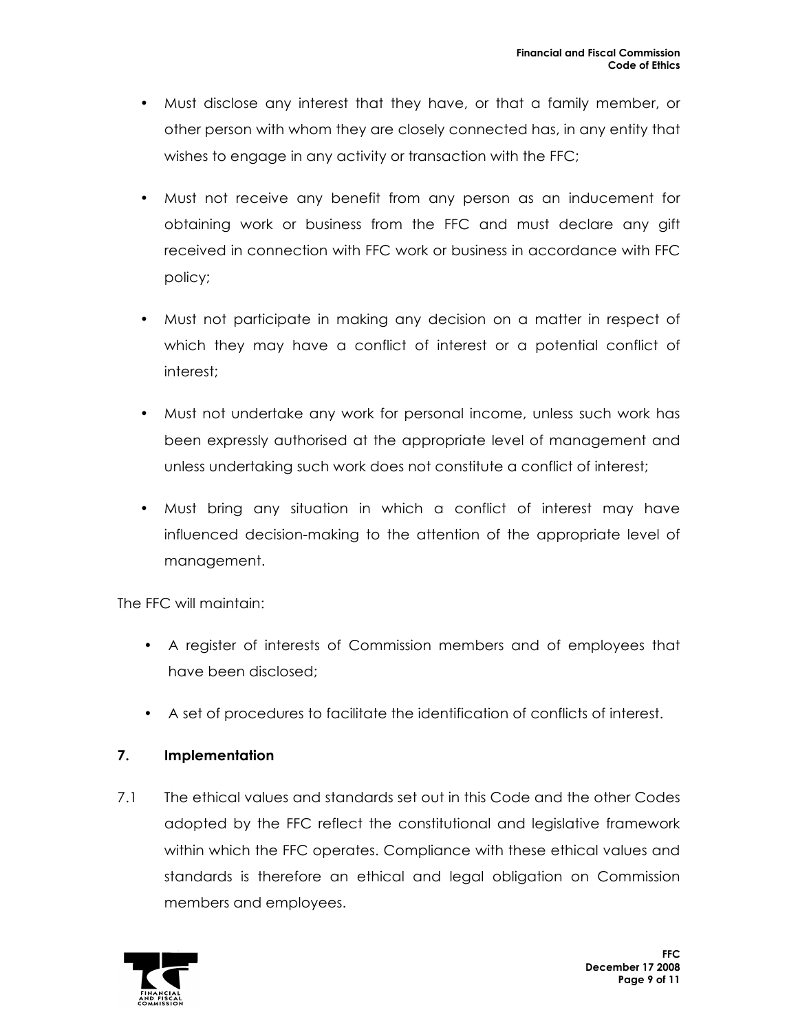- Must disclose any interest that they have, or that a family member, or other person with whom they are closely connected has, in any entity that wishes to engage in any activity or transaction with the FFC;
- Must not receive any benefit from any person as an inducement for obtaining work or business from the FFC and must declare any gift received in connection with FFC work or business in accordance with FFC policy;
- Must not participate in making any decision on a matter in respect of which they may have a conflict of interest or a potential conflict of interest;
- Must not undertake any work for personal income, unless such work has been expressly authorised at the appropriate level of management and unless undertaking such work does not constitute a conflict of interest;
- Must bring any situation in which a conflict of interest may have influenced decision-making to the attention of the appropriate level of management.

The FFC will maintain:

- A register of interests of Commission members and of employees that have been disclosed;
- A set of procedures to facilitate the identification of conflicts of interest.

## **7. Implementation**

7.1 The ethical values and standards set out in this Code and the other Codes adopted by the FFC reflect the constitutional and legislative framework within which the FFC operates. Compliance with these ethical values and standards is therefore an ethical and legal obligation on Commission members and employees.

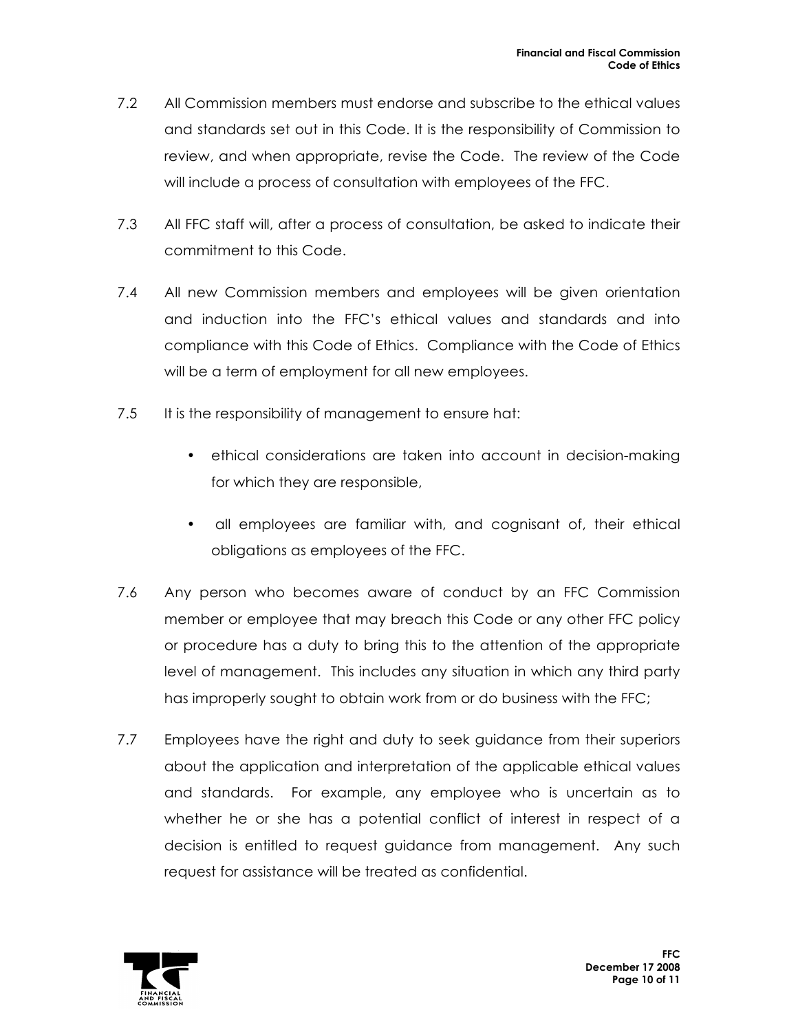- 7.2 All Commission members must endorse and subscribe to the ethical values and standards set out in this Code. It is the responsibility of Commission to review, and when appropriate, revise the Code. The review of the Code will include a process of consultation with employees of the FFC.
- 7.3 All FFC staff will, after a process of consultation, be asked to indicate their commitment to this Code.
- 7.4 All new Commission members and employees will be given orientation and induction into the FFC's ethical values and standards and into compliance with this Code of Ethics. Compliance with the Code of Ethics will be a term of employment for all new employees.
- 7.5 It is the responsibility of management to ensure hat:
	- ethical considerations are taken into account in decision-making for which they are responsible,
	- all employees are familiar with, and cognisant of, their ethical obligations as employees of the FFC.
- 7.6 Any person who becomes aware of conduct by an FFC Commission member or employee that may breach this Code or any other FFC policy or procedure has a duty to bring this to the attention of the appropriate level of management. This includes any situation in which any third party has improperly sought to obtain work from or do business with the FFC;
- 7.7 Employees have the right and duty to seek guidance from their superiors about the application and interpretation of the applicable ethical values and standards. For example, any employee who is uncertain as to whether he or she has a potential conflict of interest in respect of a decision is entitled to request guidance from management. Any such request for assistance will be treated as confidential.